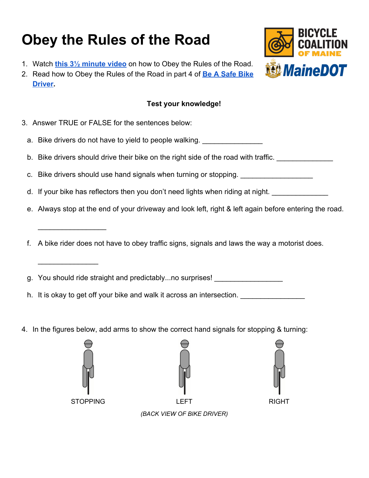## **Obey the Rules of the Road**

- 1. Watch **[this 3½ minute video](https://youtu.be/HjLWWn3qhdY)** on how to Obey the Rules of the Road.
- 2. Read how to Obey the Rules of the Road in part 4 of **[Be A Safe Bike](https://drive.google.com/file/d/0BzVN8gHL4sKJTkdjZ25FXzY4NFk/view) [Driver](https://drive.google.com/file/d/0BzVN8gHL4sKJTkdjZ25FXzY4NFk/view).**

## **Test your knowledge!**

- 3. Answer TRUE or FALSE for the sentences below:
	- a. Bike drivers do not have to yield to people walking.
	- b. Bike drivers should drive their bike on the right side of the road with traffic.
	- c. Bike drivers should use hand signals when turning or stopping.
	- d. If your bike has reflectors then you don't need lights when riding at night. \_\_\_\_\_\_\_\_\_\_\_\_\_\_\_\_\_\_\_\_\_\_\_\_\_\_\_\_\_\_
	- e. Always stop at the end of your driveway and look left, right & left again before entering the road.
	- f. A bike rider does not have to obey traffic signs, signals and laws the way a motorist does.
	- g. You should ride straight and predictably...no surprises!
	- h. It is okay to get off your bike and walk it across an intersection. \_\_\_\_\_\_\_\_\_\_
- 4. In the figures below, add arms to show the correct hand signals for stopping & turning:



 $\_$ 

 $\frac{1}{2}$  ,  $\frac{1}{2}$  ,  $\frac{1}{2}$  ,  $\frac{1}{2}$  ,  $\frac{1}{2}$  ,  $\frac{1}{2}$  ,  $\frac{1}{2}$ 





*(BACK VIEW OF BIKE DRIVER)*